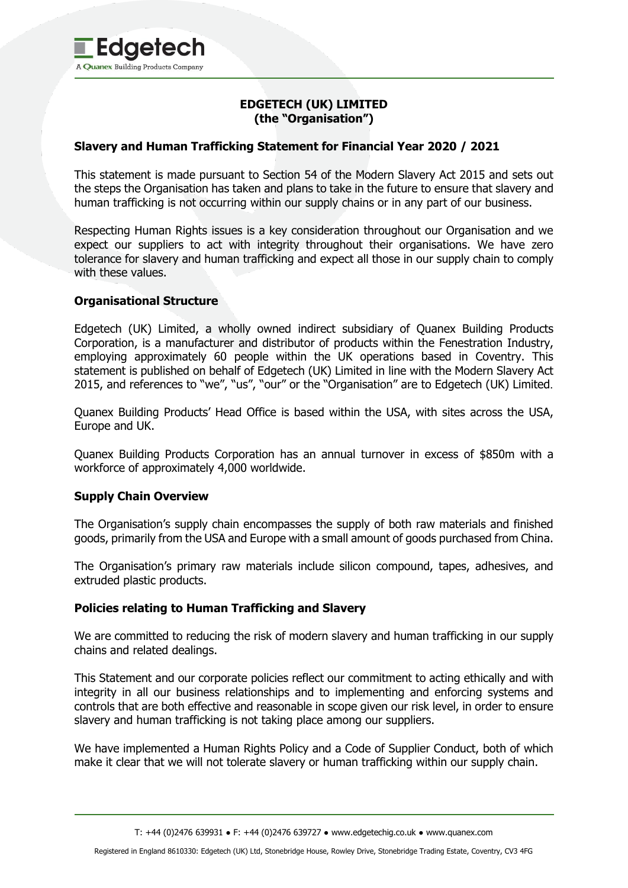# **EDGETECH (UK) LIMITED (the "Organisation")**

# **Slavery and Human Trafficking Statement for Financial Year 2020 / 2021**

This statement is made pursuant to Section 54 of the Modern Slavery Act 2015 and sets out the steps the Organisation has taken and plans to take in the future to ensure that slavery and human trafficking is not occurring within our supply chains or in any part of our business.

Respecting Human Rights issues is a key consideration throughout our Organisation and we expect our suppliers to act with integrity throughout their organisations. We have zero tolerance for slavery and human trafficking and expect all those in our supply chain to comply with these values.

### **Organisational Structure**

Edgetech (UK) Limited, a wholly owned indirect subsidiary of Quanex Building Products Corporation, is a manufacturer and distributor of products within the Fenestration Industry, employing approximately 60 people within the UK operations based in Coventry. This statement is published on behalf of Edgetech (UK) Limited in line with the Modern Slavery Act 2015, and references to "we", "us", "our" or the "Organisation" are to Edgetech (UK) Limited.

Quanex Building Products' Head Office is based within the USA, with sites across the USA, Europe and UK.

Quanex Building Products Corporation has an annual turnover in excess of \$850m with a workforce of approximately 4,000 worldwide.

### **Supply Chain Overview**

The Organisation's supply chain encompasses the supply of both raw materials and finished goods, primarily from the USA and Europe with a small amount of goods purchased from China.

The Organisation's primary raw materials include silicon compound, tapes, adhesives, and extruded plastic products.

### **Policies relating to Human Trafficking and Slavery**

We are committed to reducing the risk of modern slavery and human trafficking in our supply chains and related dealings.

This Statement and our corporate policies reflect our commitment to acting ethically and with integrity in all our business relationships and to implementing and enforcing systems and controls that are both effective and reasonable in scope given our risk level, in order to ensure slavery and human trafficking is not taking place among our suppliers.

We have implemented a Human Rights Policy and a Code of Supplier Conduct, both of which make it clear that we will not tolerate slavery or human trafficking within our supply chain.

T: +44 (0)2476 639931 ● F: +44 (0)2476 639727 ● www.edgetechig.co.uk ● www.quanex.com